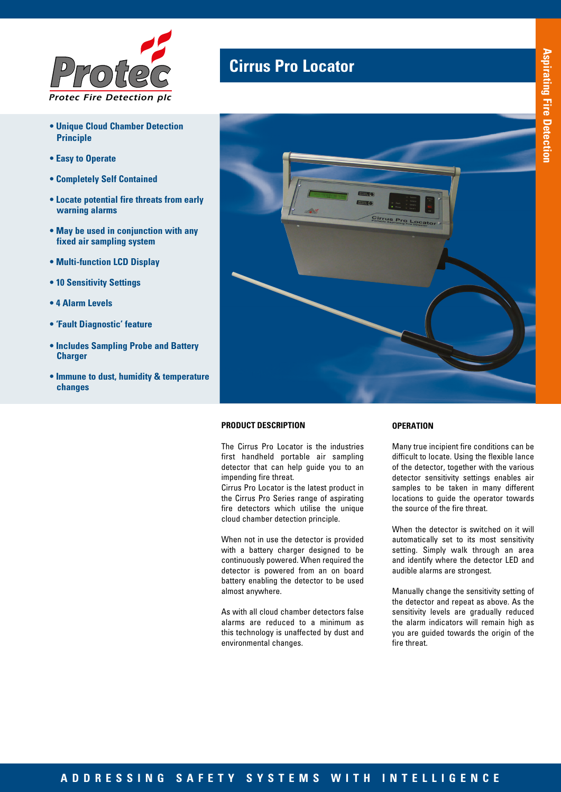

- **Unique Cloud Chamber Detection Principle**
- **Easy to Operate**
- **Completely Self Contained**
- **Locate potential fire threats from early warning alarms**
- **May be used in conjunction with any fixed air sampling system**
- **Multi-function LCD Display**
- **10 Sensitivity Settings**
- **4 Alarm Levels**
- **'Fault Diagnostic' feature**
- **Includes Sampling Probe and Battery Charger**
- **Immune to dust, humidity & temperature changes**

## **Cirrus Pro Locator**



## **PRODUCT DESCRIPTION**

The Cirrus Pro Locator is the industries first handheld portable air sampling detector that can help guide you to an impending fire threat.

Cirrus Pro Locator is the latest product in the Cirrus Pro Series range of aspirating fire detectors which utilise the unique cloud chamber detection principle.

When not in use the detector is provided with a battery charger designed to be continuously powered. When required the detector is powered from an on board battery enabling the detector to be used almost anywhere.

As with all cloud chamber detectors false alarms are reduced to a minimum as this technology is unaffected by dust and environmental changes.

### **OPERATION**

Many true incipient fire conditions can be difficult to locate. Using the flexible lance of the detector, together with the various detector sensitivity settings enables air samples to be taken in many different locations to guide the operator towards the source of the fire threat.

When the detector is switched on it will automatically set to its most sensitivity setting. Simply walk through an area and identify where the detector LED and audible alarms are strongest.

Manually change the sensitivity setting of the detector and repeat as above. As the sensitivity levels are gradually reduced the alarm indicators will remain high as you are guided towards the origin of the fire threat.